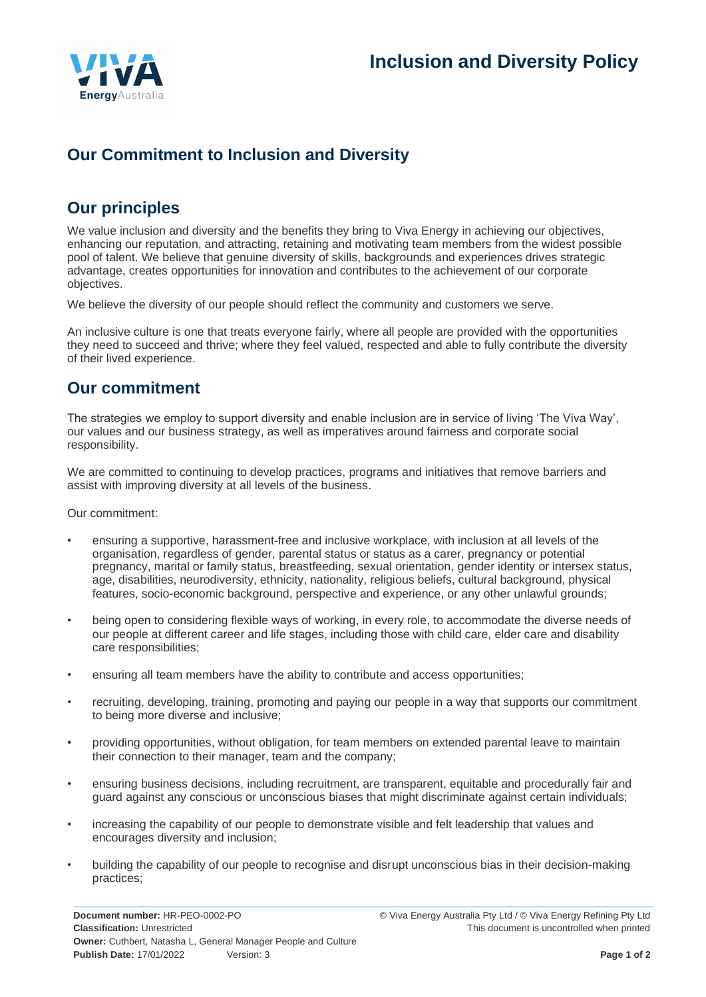

# **Our Commitment to Inclusion and Diversity**

# **Our principles**

We value inclusion and diversity and the benefits they bring to Viva Energy in achieving our objectives, enhancing our reputation, and attracting, retaining and motivating team members from the widest possible pool of talent. We believe that genuine diversity of skills, backgrounds and experiences drives strategic advantage, creates opportunities for innovation and contributes to the achievement of our corporate objectives.

We believe the diversity of our people should reflect the community and customers we serve.

An inclusive culture is one that treats everyone fairly, where all people are provided with the opportunities they need to succeed and thrive; where they feel valued, respected and able to fully contribute the diversity of their lived experience.

## **Our commitment**

The strategies we employ to support diversity and enable inclusion are in service of living 'The Viva Way', our values and our business strategy, as well as imperatives around fairness and corporate social responsibility.

We are committed to continuing to develop practices, programs and initiatives that remove barriers and assist with improving diversity at all levels of the business.

Our commitment:

- ensuring a supportive, harassment-free and inclusive workplace, with inclusion at all levels of the organisation, regardless of gender, parental status or status as a carer, pregnancy or potential pregnancy, marital or family status, breastfeeding, sexual orientation, gender identity or intersex status, age, disabilities, neurodiversity, ethnicity, nationality, religious beliefs, cultural background, physical features, socio-economic background, perspective and experience, or any other unlawful grounds;
- being open to considering flexible ways of working, in every role, to accommodate the diverse needs of our people at different career and life stages, including those with child care, elder care and disability care responsibilities;
- ensuring all team members have the ability to contribute and access opportunities;
- recruiting, developing, training, promoting and paying our people in a way that supports our commitment to being more diverse and inclusive;
- providing opportunities, without obligation, for team members on extended parental leave to maintain their connection to their manager, team and the company;
- ensuring business decisions, including recruitment, are transparent, equitable and procedurally fair and guard against any conscious or unconscious biases that might discriminate against certain individuals;
- increasing the capability of our people to demonstrate visible and felt leadership that values and encourages diversity and inclusion;
- building the capability of our people to recognise and disrupt unconscious bias in their decision-making practices;